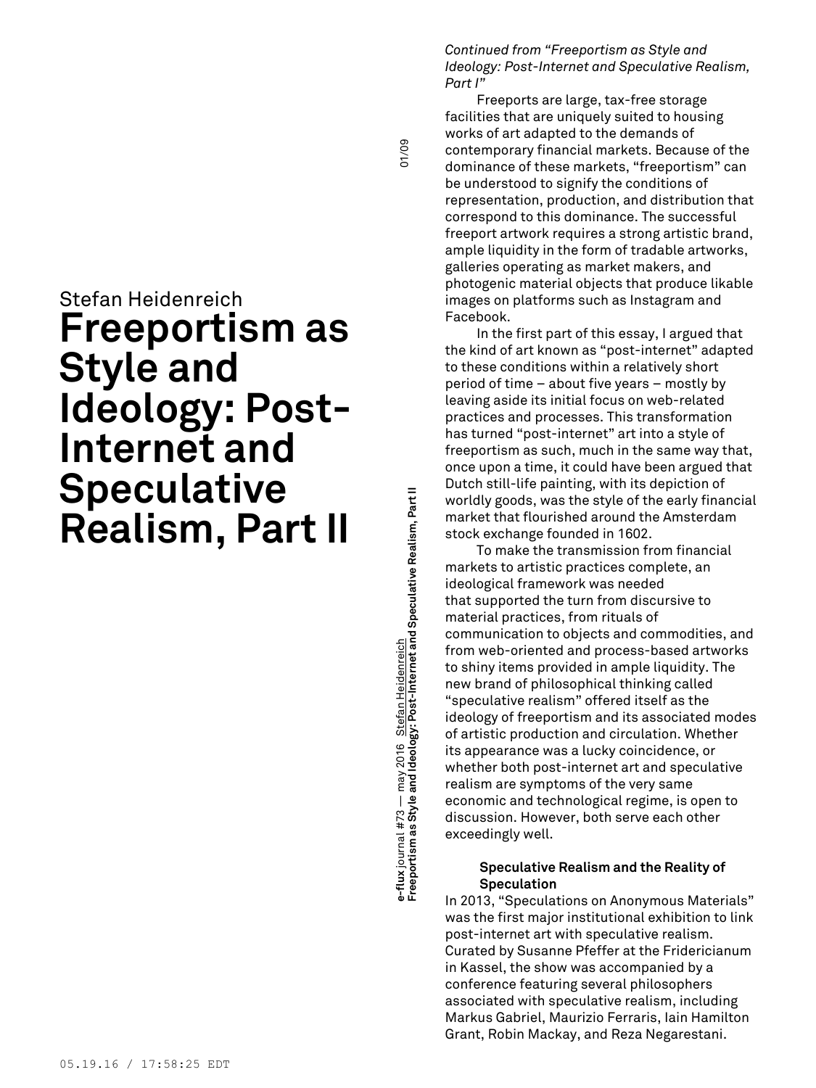# Stefan Heidenreich **Freeportism as Style and Ideology: Post-Internet and Speculative Realism, Part II**

**Freeportism as Style and Ideology: Post-Internet and Speculative Realism, Part II** 01/09 ə-flux journal #73 — may 2016 <u>Stefan Heidenreich</u><br>Freeportism as Style and Ideology: Post-Internet and Speculative Realism, Part II may 2016 Stefan Heidenreich **e-flux** journal #73 —

01/09

*Continued from "Freeportism as Style and Ideology: Post-Internet and Speculative Realism, Part I"*

Freeports are large, tax-free storage facilities that are uniquely suited to housing works of art adapted to the demands of contemporary financial markets. Because of the dominance of these markets, "freeportism" can be understood to signify the conditions of representation, production, and distribution that correspond to this dominance. The successful freeport artwork requires a strong artistic brand, ample liquidity in the form of tradable artworks, galleries operating as market makers, and photogenic material objects that produce likable images on platforms such as Instagram and Facebook.

In the first part of this essay, I argued that the kind of art known as "post-internet" adapted to these conditions within a relatively short period of time – about five years – mostly by leaving aside its initial focus on web-related practices and processes. This transformation has turned "post-internet" art into a style of freeportism as such, much in the same way that, once upon a time, it could have been argued that Dutch still-life painting, with its depiction of worldly goods, was the style of the early financial market that flourished around the Amsterdam stock exchange founded in 1602.

To make the transmission from financial markets to artistic practices complete, an ideological framework was needed that supported the turn from discursive to material practices, from rituals of communication to objects and commodities, and from web-oriented and process-based artworks to shiny items provided in ample liquidity. The new brand of philosophical thinking called "speculative realism" offered itself as the ideology of freeportism and its associated modes of artistic production and circulation. Whether its appearance was a lucky coincidence, or whether both post-internet art and speculative realism are symptoms of the very same economic and technological regime, is open to discussion. However, both serve each other exceedingly well.

### **Speculative Realism and the Reality of Speculation**

In 2013, "Speculations on Anonymous Materials" was the first major institutional exhibition to link post-internet art with speculative realism. Curated by Susanne Pfeffer at the Fridericianum in Kassel, the show was accompanied by a conference featuring several philosophers associated with speculative realism, including Markus Gabriel, Maurizio Ferraris, Iain Hamilton Grant, Robin Mackay, and Reza Negarestani.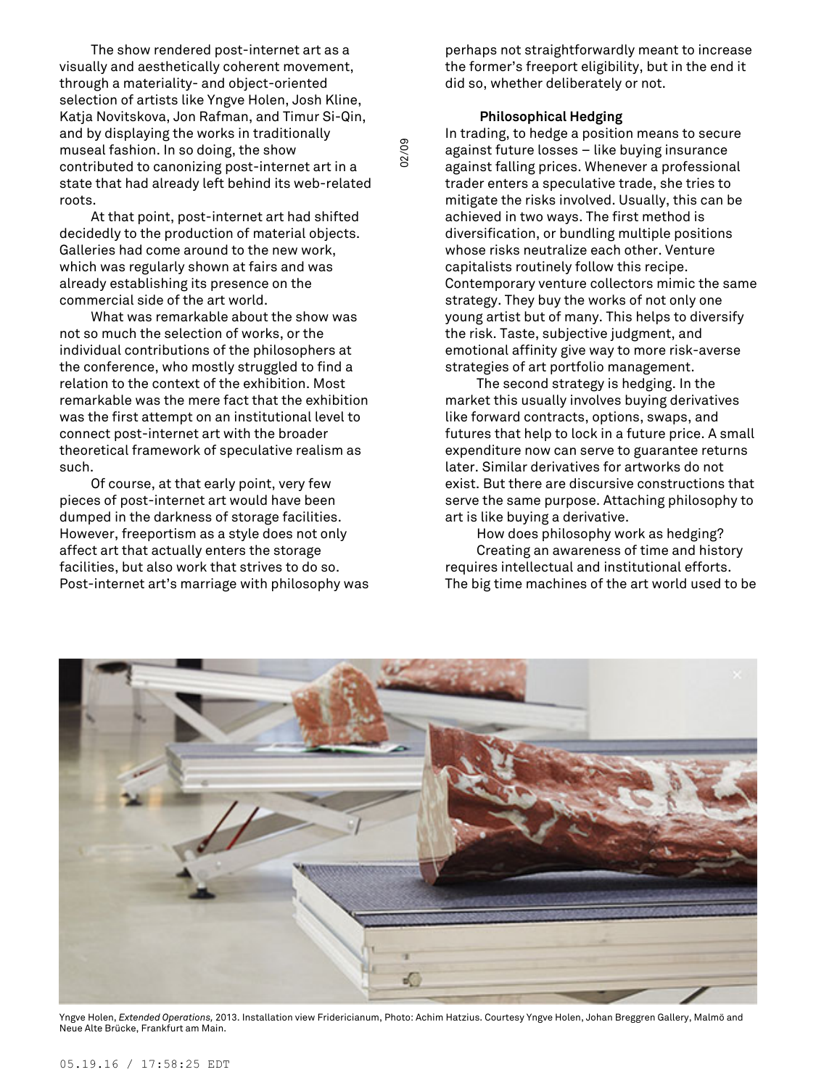The show rendered post-internet art as a visually and aesthetically coherent movement, through a materiality- and object-oriented selection of artists like Yngve Holen, Josh Kline, Katja Novitskova, Jon Rafman, and Timur Si-Qin, and by displaying the works in traditionally museal fashion. In so doing, the show contributed to canonizing post-internet art in a state that had already left behind its web-related roots.

At that point, post-internet art had shifted decidedly to the production of material objects. Galleries had come around to the new work, which was regularly shown at fairs and was already establishing its presence on the commercial side of the art world.

What was remarkable about the show was not so much the selection of works, or the individual contributions of the philosophers at the conference, who mostly struggled to find a relation to the context of the exhibition. Most remarkable was the mere fact that the exhibition was the first attempt on an institutional level to connect post-internet art with the broader theoretical framework of speculative realism as such.

Of course, at that early point, very few pieces of post-internet art would have been dumped in the darkness of storage facilities. However, freeportism as a style does not only affect art that actually enters the storage facilities, but also work that strives to do so. Post-internet art's marriage with philosophy was

perhaps not straightforwardly meant to increase the former's freeport eligibility, but in the end it did so, whether deliberately or not.

## **Philosophical Hedging**

In trading, to hedge a position means to secure against future losses – like buying insurance against falling prices. Whenever a professional trader enters a speculative trade, she tries to mitigate the risks involved. Usually, this can be achieved in two ways. The first method is diversification, or bundling multiple positions whose risks neutralize each other. Venture capitalists routinely follow this recipe. Contemporary venture collectors mimic the same strategy. They buy the works of not only one young artist but of many. This helps to diversify the risk. Taste, subjective judgment, and emotional affinity give way to more risk-averse strategies of art portfolio management.

The second strategy is hedging. In the market this usually involves buying derivatives like forward contracts, options, swaps, and futures that help to lock in a future price. A small expenditure now can serve to guarantee returns later. Similar derivatives for artworks do not exist. But there are discursive constructions that serve the same purpose. Attaching philosophy to art is like buying a derivative.

How does philosophy work as hedging? Creating an awareness of time and history requires intellectual and institutional efforts. The big time machines of the art world used to be



02/09

Yngve Holen, *Extended Operations,* 2013. Installation view Fridericianum, Photo: Achim Hatzius. Courtesy Yngve Holen, Johan Breggren Gallery, Malmö and Neue Alte Brücke, Frankfurt am Main.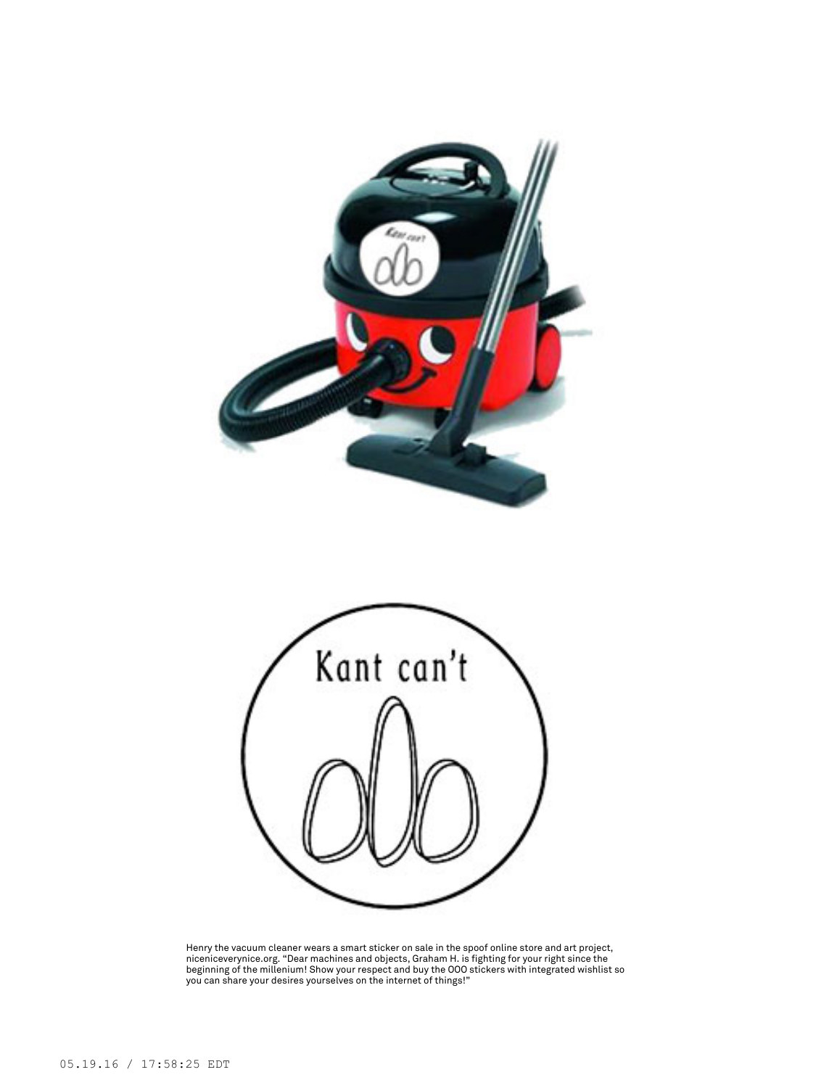



Henry the vacuum cleaner wears a smart sticker on sale in the spoof online store and art project,<br>niceniceverynice.org. "Dear machines and objects, Graham H. is fighting for your right since the<br>beginning of the millenium!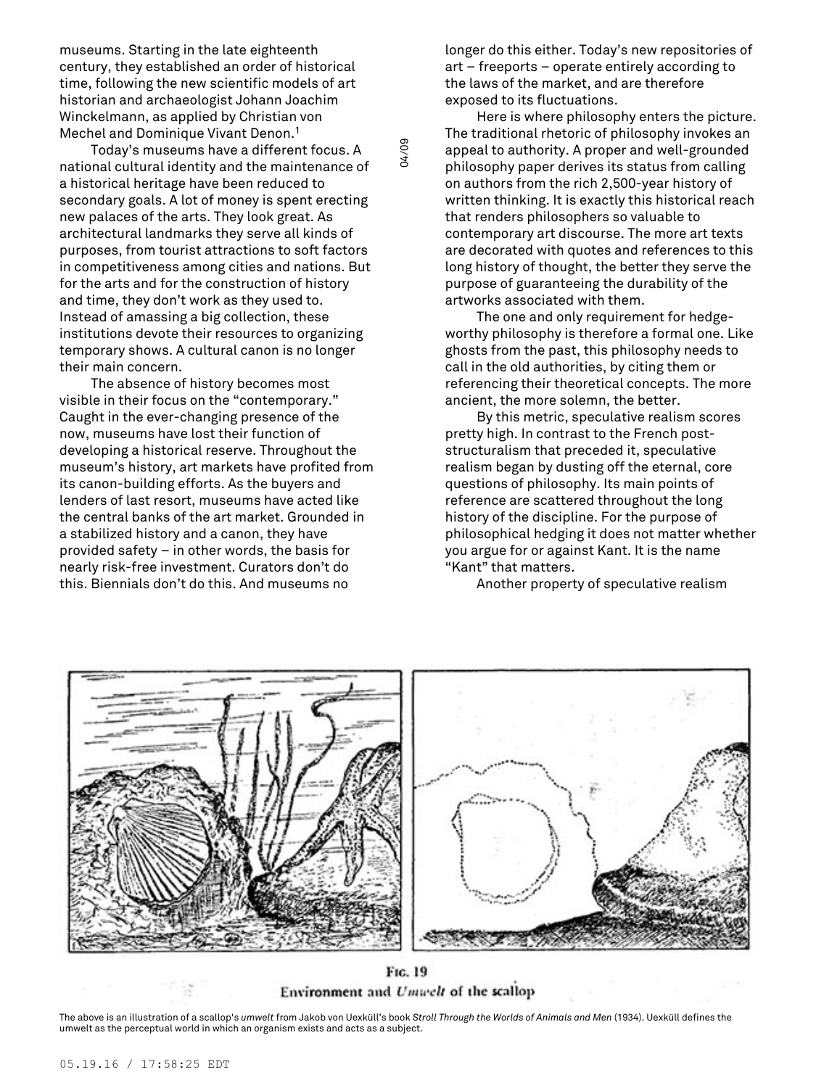museums. Starting in the late eighteenth century, they established an order of historical time, following the new scientific models of art historian and archaeologist Johann Joachim Winckelmann, as applied by Christian von Mechel and Dominique Vivant Denon. 1

Today's museums have a different focus. A national cultural identity and the maintenance of a historical heritage have been reduced to secondary goals. A lot of money is spent erecting new palaces of the arts. They look great. As architectural landmarks they serve all kinds of purposes, from tourist attractions to soft factors in competitiveness among cities and nations. But for the arts and for the construction of history and time, they don't work as they used to. Instead of amassing a big collection, these institutions devote their resources to organizing temporary shows. A cultural canon is no longer their main concern.

The absence of history becomes most visible in their focus on the "contemporary." Caught in the ever-changing presence of the now, museums have lost their function of developing a historical reserve. Throughout the museum's history, art markets have profited from its canon-building efforts. As the buyers and lenders of last resort, museums have acted like the central banks of the art market. Grounded in a stabilized history and a canon, they have provided safety – in other words, the basis for nearly risk-free investment. Curators don't do this. Biennials don't do this. And museums no

longer do this either. Today's new repositories of art – freeports – operate entirely according to the laws of the market, and are therefore exposed to its fluctuations.

Here is where philosophy enters the picture. The traditional rhetoric of philosophy invokes an appeal to authority. A proper and well-grounded philosophy paper derives its status from calling on authors from the rich 2,500-year history of written thinking. It is exactly this historical reach that renders philosophers so valuable to contemporary art discourse. The more art texts are decorated with quotes and references to this long history of thought, the better they serve the purpose of guaranteeing the durability of the artworks associated with them.

The one and only requirement for hedgeworthy philosophy is therefore a formal one. Like ghosts from the past, this philosophy needs to call in the old authorities, by citing them or referencing their theoretical concepts. The more ancient, the more solemn, the better.

By this metric, speculative realism scores pretty high. In contrast to the French poststructuralism that preceded it, speculative realism began by dusting off the eternal, core questions of philosophy. Its main points of reference are scattered throughout the long history of the discipline. For the purpose of philosophical hedging it does not matter whether you argue for or against Kant. It is the name "Kant" that matters.

Another property of speculative realism



04/09

FIG. 19 Environment and Umwelt of the scallop

The above is an illustration of a scallop's *umwelt* from Jakob von Uexküll's book *Stroll Through the Worlds of Animals and Men* (1934). Uexküll defines the umwelt as the perceptual world in which an organism exists and acts as a subject.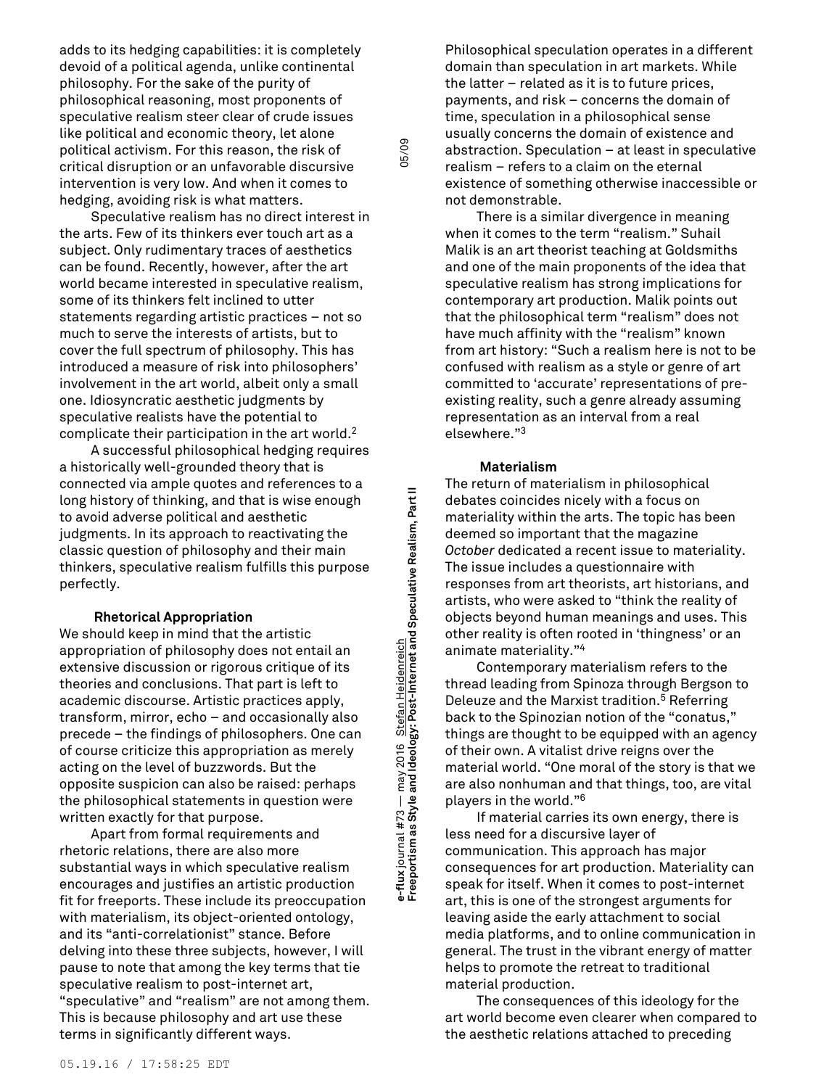adds to its hedging capabilities: it is completely devoid of a political agenda, unlike continental philosophy. For the sake of the purity of philosophical reasoning, most proponents of speculative realism steer clear of crude issues like political and economic theory, let alone political activism. For this reason, the risk of critical disruption or an unfavorable discursive intervention is very low. And when it comes to hedging, avoiding risk is what matters.

Speculative realism has no direct interest in the arts. Few of its thinkers ever touch art as a subject. Only rudimentary traces of aesthetics can be found. Recently, however, after the art world became interested in speculative realism, some of its thinkers felt inclined to utter statements regarding artistic practices – not so much to serve the interests of artists, but to cover the full spectrum of philosophy. This has introduced a measure of risk into philosophers' involvement in the art world, albeit only a small one. Idiosyncratic aesthetic judgments by speculative realists have the potential to complicate their participation in the art world. 2

A successful philosophical hedging requires a historically well-grounded theory that is connected via ample quotes and references to a long history of thinking, and that is wise enough to avoid adverse political and aesthetic judgments. In its approach to reactivating the classic question of philosophy and their main thinkers, speculative realism fulfills this purpose perfectly.

#### **Rhetorical Appropriation**

We should keep in mind that the artistic appropriation of philosophy does not entail an extensive discussion or rigorous critique of its theories and conclusions. That part is left to academic discourse. Artistic practices apply, transform, mirror, echo – and occasionally also precede – the findings of philosophers. One can of course criticize this appropriation as merely acting on the level of buzzwords. But the opposite suspicion can also be raised: perhaps the philosophical statements in question were written exactly for that purpose.

Apart from formal requirements and rhetoric relations, there are also more substantial ways in which speculative realism encourages and justifies an artistic production fit for freeports. These include its preoccupation with materialism, its object-oriented ontology, and its "anti-correlationist" stance. Before delving into these three subjects, however, I will pause to note that among the key terms that tie speculative realism to post-internet art, "speculative" and "realism" are not among them. This is because philosophy and art use these terms in significantly different ways.

**Freeportism as Style and Ideology: Post-Internet and Speculative Realism, Part II** 05/09 e-flux journal #73 — may 2016 <u>Stefan Heidenreich</u><br>Freeportism as Style and Ideology: Post-Internet and Speculative Realism, Part II may 2016 Stefan Heidenreich **e-flux** journal #73 —

05/09

Philosophical speculation operates in a different domain than speculation in art markets. While the latter – related as it is to future prices, payments, and risk – concerns the domain of time, speculation in a philosophical sense usually concerns the domain of existence and abstraction. Speculation – at least in speculative realism – refers to a claim on the eternal existence of something otherwise inaccessible or not demonstrable.

There is a similar divergence in meaning when it comes to the term "realism." Suhail Malik is an art theorist teaching at Goldsmiths and one of the main proponents of the idea that speculative realism has strong implications for contemporary art production. Malik points out that the philosophical term "realism" does not have much affinity with the "realism" known from art history: "Such a realism here is not to be confused with realism as a style or genre of art committed to 'accurate' representations of preexisting reality, such a genre already assuming representation as an interval from a real elsewhere." 3

## **Materialism**

The return of materialism in philosophical debates coincides nicely with a focus on materiality within the arts. The topic has been deemed so important that the magazine *October* dedicated a recent issue to materiality. The issue includes a questionnaire with responses from art theorists, art historians, and artists, who were asked to "think the reality of objects beyond human meanings and uses. This other reality is often rooted in 'thingness' or an animate materiality." 4

Contemporary materialism refers to the thread leading from Spinoza through Bergson to Deleuze and the Marxist tradition. <sup>5</sup> Referring back to the Spinozian notion of the "conatus," things are thought to be equipped with an agency of their own. A vitalist drive reigns over the material world. "One moral of the story is that we are also nonhuman and that things, too, are vital players in the world." 6

If material carries its own energy, there is less need for a discursive layer of communication. This approach has major consequences for art production. Materiality can speak for itself. When it comes to post-internet art, this is one of the strongest arguments for leaving aside the early attachment to social media platforms, and to online communication in general. The trust in the vibrant energy of matter helps to promote the retreat to traditional material production.

The consequences of this ideology for the art world become even clearer when compared to the aesthetic relations attached to preceding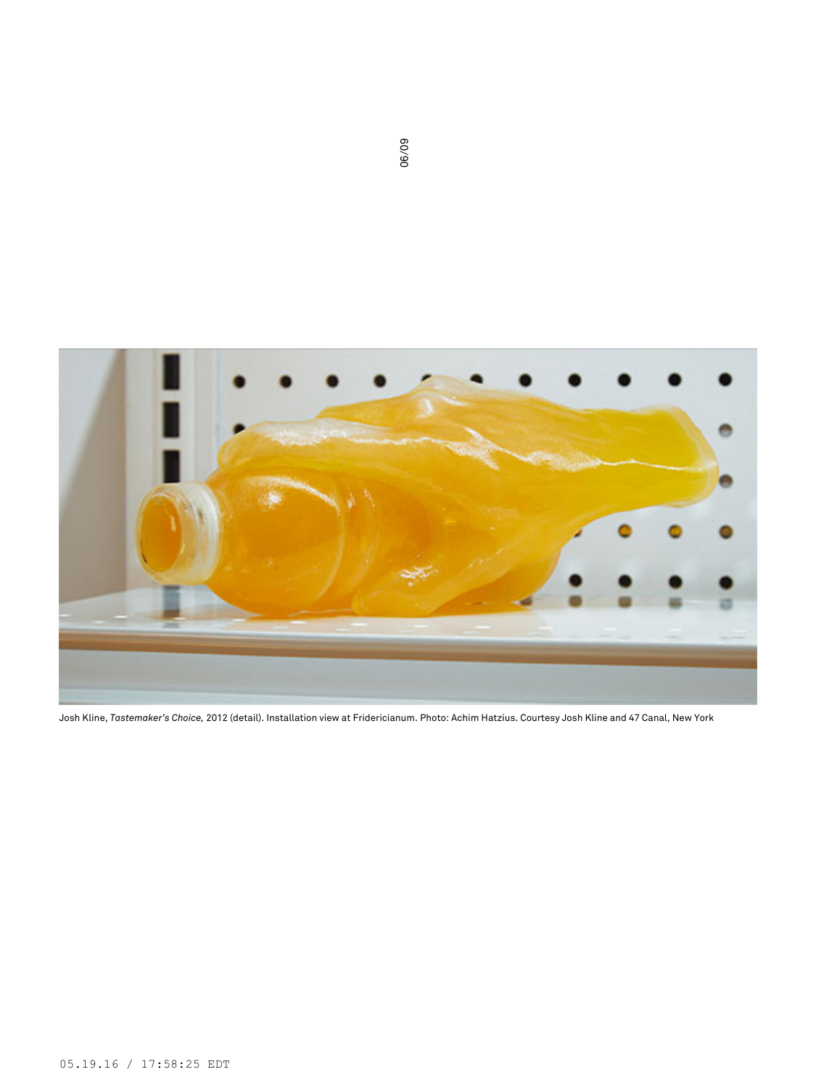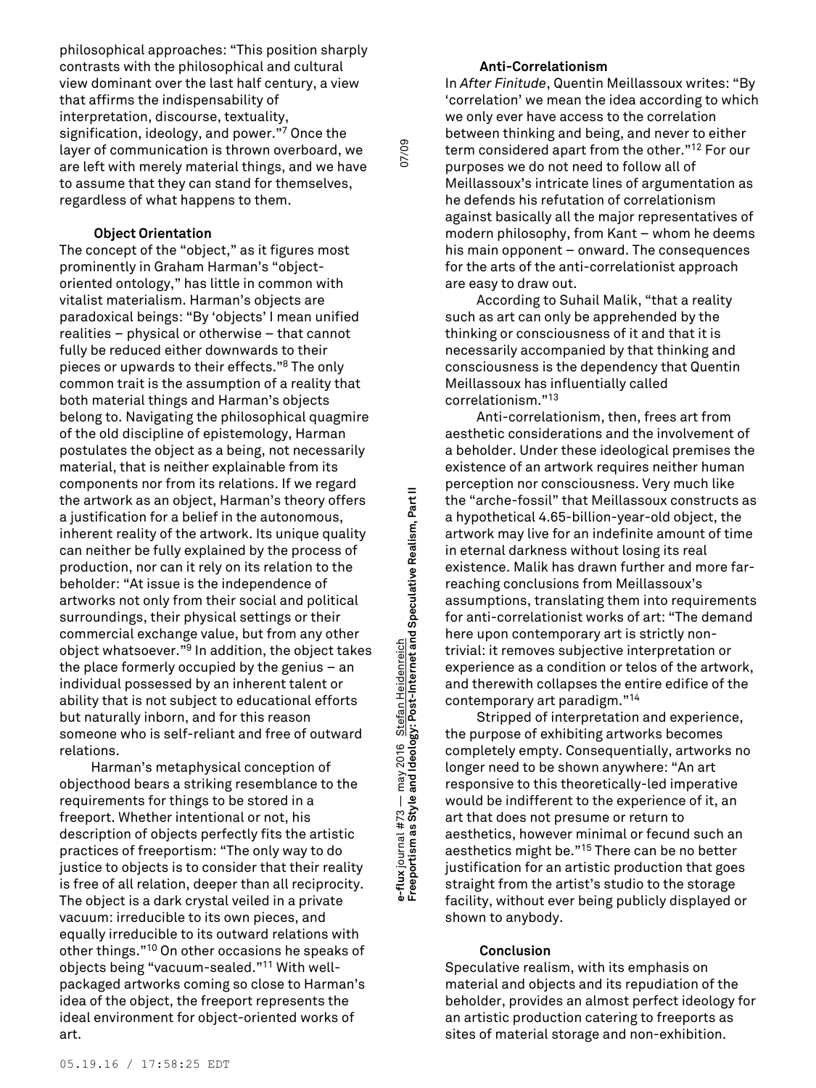philosophical approaches: "This position sharply contrasts with the philosophical and cultural view dominant over the last half century, a view that affirms the indispensability of interpretation, discourse, textuality, signification, ideology, and power." <sup>7</sup> Once the layer of communication is thrown overboard, we are left with merely material things, and we have to assume that they can stand for themselves, regardless of what happens to them.

### **Object Orientation**

The concept of the "object," as it figures most prominently in Graham Harman's "objectoriented ontology," has little in common with vitalist materialism. Harman's objects are paradoxical beings: "By 'objects' I mean unified realities – physical or otherwise – that cannot fully be reduced either downwards to their pieces or upwards to their effects." <sup>8</sup> The only common trait is the assumption of a reality that both material things and Harman's objects belong to. Navigating the philosophical quagmire of the old discipline of epistemology, Harman postulates the object as a being, not necessarily material, that is neither explainable from its components nor from its relations. If we regard the artwork as an object, Harman's theory offers a justification for a belief in the autonomous, inherent reality of the artwork. Its unique quality can neither be fully explained by the process of production, nor can it rely on its relation to the beholder: "At issue is the independence of artworks not only from their social and political surroundings, their physical settings or their commercial exchange value, but from any other object whatsoever." <sup>9</sup> In addition, the object takes the place formerly occupied by the genius – an individual possessed by an inherent talent or ability that is not subject to educational efforts but naturally inborn, and for this reason someone who is self-reliant and free of outward relations.

Harman's metaphysical conception of objecthood bears a striking resemblance to the requirements for things to be stored in a freeport. Whether intentional or not, his description of objects perfectly fits the artistic practices of freeportism: "The only way to do justice to objects is to consider that their reality is free of all relation, deeper than all reciprocity. The object is a dark crystal veiled in a private vacuum: irreducible to its own pieces, and equally irreducible to its outward relations with other things." <sup>10</sup> On other occasions he speaks of objects being "vacuum-sealed." <sup>11</sup> With wellpackaged artworks coming so close to Harman's idea of the object, the freeport represents the ideal environment for object-oriented works of art.

**Freeportism as Style and Ideology: Post-Internet and Speculative Realism, Part II** 07/09 e-flux journal #73 — may 2016 <u>Stefan Heidenreich</u><br>Freeportism as Style and Ideology: Post-Internet and Speculative Realism, Part II may 2016 Stefan Heidenreich **e-flux** journal #73 —

07/09

## **Anti-Correlationism**

In *After Finitude*, Quentin Meillassoux writes: "By 'correlation' we mean the idea according to which we only ever have access to the correlation between thinking and being, and never to either term considered apart from the other." <sup>12</sup> For our purposes we do not need to follow all of Meillassoux's intricate lines of argumentation as he defends his refutation of correlationism against basically all the major representatives of modern philosophy, from Kant – whom he deems his main opponent – onward. The consequences for the arts of the anti-correlationist approach are easy to draw out.

According to Suhail Malik, "that a reality such as art can only be apprehended by the thinking or consciousness of it and that it is necessarily accompanied by that thinking and consciousness is the dependency that Quentin Meillassoux has influentially called correlationism." 13

Anti-correlationism, then, frees art from aesthetic considerations and the involvement of a beholder. Under these ideological premises the existence of an artwork requires neither human perception nor consciousness. Very much like the "arche-fossil" that Meillassoux constructs as a hypothetical 4.65-billion-year-old object, the artwork may live for an indefinite amount of time in eternal darkness without losing its real existence. Malik has drawn further and more farreaching conclusions from Meillassoux's assumptions, translating them into requirements for anti-correlationist works of art: "The demand here upon contemporary art is strictly nontrivial: it removes subjective interpretation or experience as a condition or telos of the artwork, and therewith collapses the entire edifice of the contemporary art paradigm." 14

Stripped of interpretation and experience, the purpose of exhibiting artworks becomes completely empty. Consequentially, artworks no longer need to be shown anywhere: "An art responsive to this theoretically-led imperative would be indifferent to the experience of it, an art that does not presume or return to aesthetics, however minimal or fecund such an aesthetics might be." <sup>15</sup> There can be no better justification for an artistic production that goes straight from the artist's studio to the storage facility, without ever being publicly displayed or shown to anybody.

#### **Conclusion**

Speculative realism, with its emphasis on material and objects and its repudiation of the beholder, provides an almost perfect ideology for an artistic production catering to freeports as sites of material storage and non-exhibition.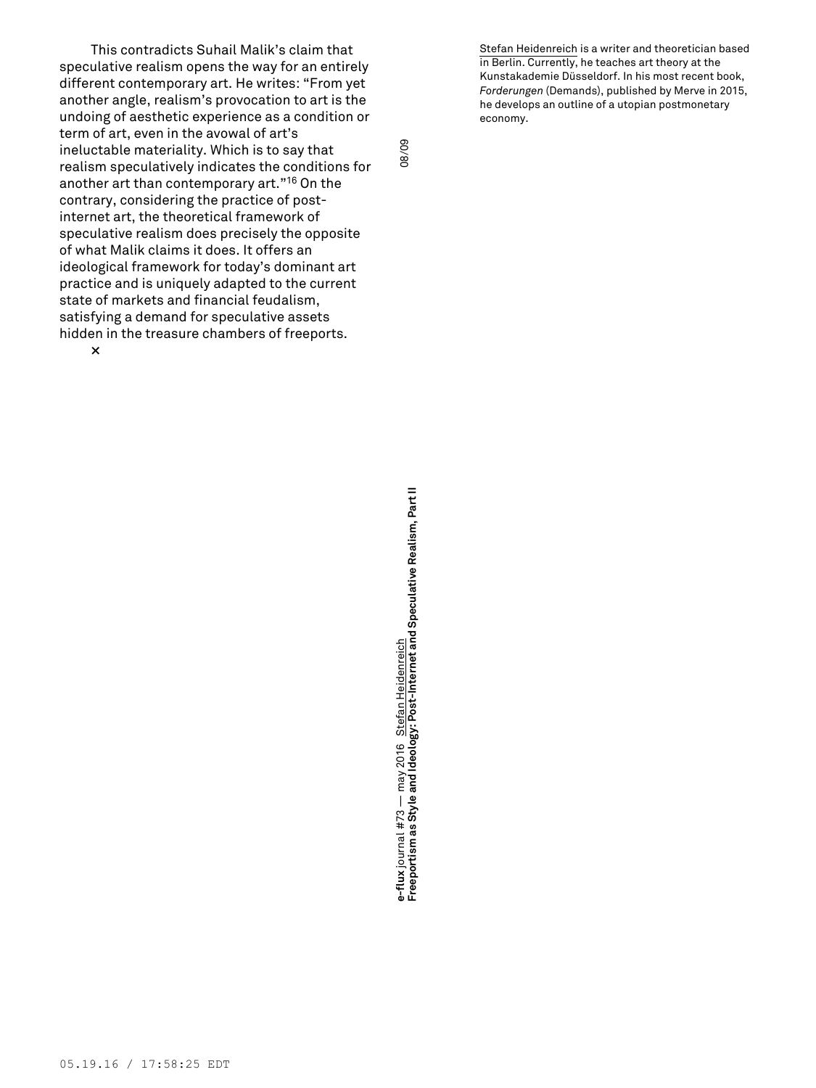This contradicts Suhail Malik's claim that speculative realism opens the way for an entirely different contemporary art. He writes: "From yet another angle, realism's provocation to art is the undoing of aesthetic experience as a condition or term of art, even in the avowal of art's ineluctable materiality. Which is to say that realism speculatively indicates the conditions for another art than contemporary art." <sup>16</sup> On the contrary, considering the practice of postinternet art, the theoretical framework of speculative realism does precisely the opposite of what Malik claims it does. It offers an ideological framework for today's dominant art practice and is uniquely adapted to the current state of markets and financial feudalism, satisfying a demand for speculative assets hidden in the treasure chambers of freeports. **×**

08/09

Stefan Heidenreich is a writer and theoretician based in Berlin. Currently, he teaches art theory at the Kunstakademie Düsseldorf. In his most recent book, *Forderungen* (Demands), published by Merve in 2015, he develops an outline of a utopian postmonetary economy.

**Freeportism as Style and Ideology: Post-Internet and Speculative Realism, Part II** 08/09 e-flux journal #73 — may 2016 Stefan Heidenreich<br>Freeportism as Style and Ideology: Post-Internet and Speculative Realism, Part II may 2016 Stefan Heidenreich **e-flux** journal #73 —